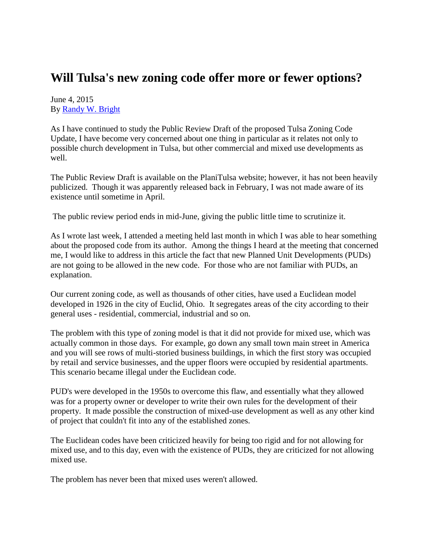## **Will Tulsa's new zoning code offer more or fewer options?**

June 4, 2015 By [Randy W. Bright](http://www.tulsabeacon.com/author/slug-o6yd1v)

As I have continued to study the Public Review Draft of the proposed Tulsa Zoning Code Update, I have become very concerned about one thing in particular as it relates not only to possible church development in Tulsa, but other commercial and mixed use developments as well.

The Public Review Draft is available on the PlaniTulsa website; however, it has not been heavily publicized. Though it was apparently released back in February, I was not made aware of its existence until sometime in April.

The public review period ends in mid-June, giving the public little time to scrutinize it.

As I wrote last week, I attended a meeting held last month in which I was able to hear something about the proposed code from its author. Among the things I heard at the meeting that concerned me, I would like to address in this article the fact that new Planned Unit Developments (PUDs) are not going to be allowed in the new code. For those who are not familiar with PUDs, an explanation.

Our current zoning code, as well as thousands of other cities, have used a Euclidean model developed in 1926 in the city of Euclid, Ohio. It segregates areas of the city according to their general uses - residential, commercial, industrial and so on.

The problem with this type of zoning model is that it did not provide for mixed use, which was actually common in those days. For example, go down any small town main street in America and you will see rows of multi-storied business buildings, in which the first story was occupied by retail and service businesses, and the upper floors were occupied by residential apartments. This scenario became illegal under the Euclidean code.

PUD's were developed in the 1950s to overcome this flaw, and essentially what they allowed was for a property owner or developer to write their own rules for the development of their property. It made possible the construction of mixed-use development as well as any other kind of project that couldn't fit into any of the established zones.

The Euclidean codes have been criticized heavily for being too rigid and for not allowing for mixed use, and to this day, even with the existence of PUDs, they are criticized for not allowing mixed use.

The problem has never been that mixed uses weren't allowed.